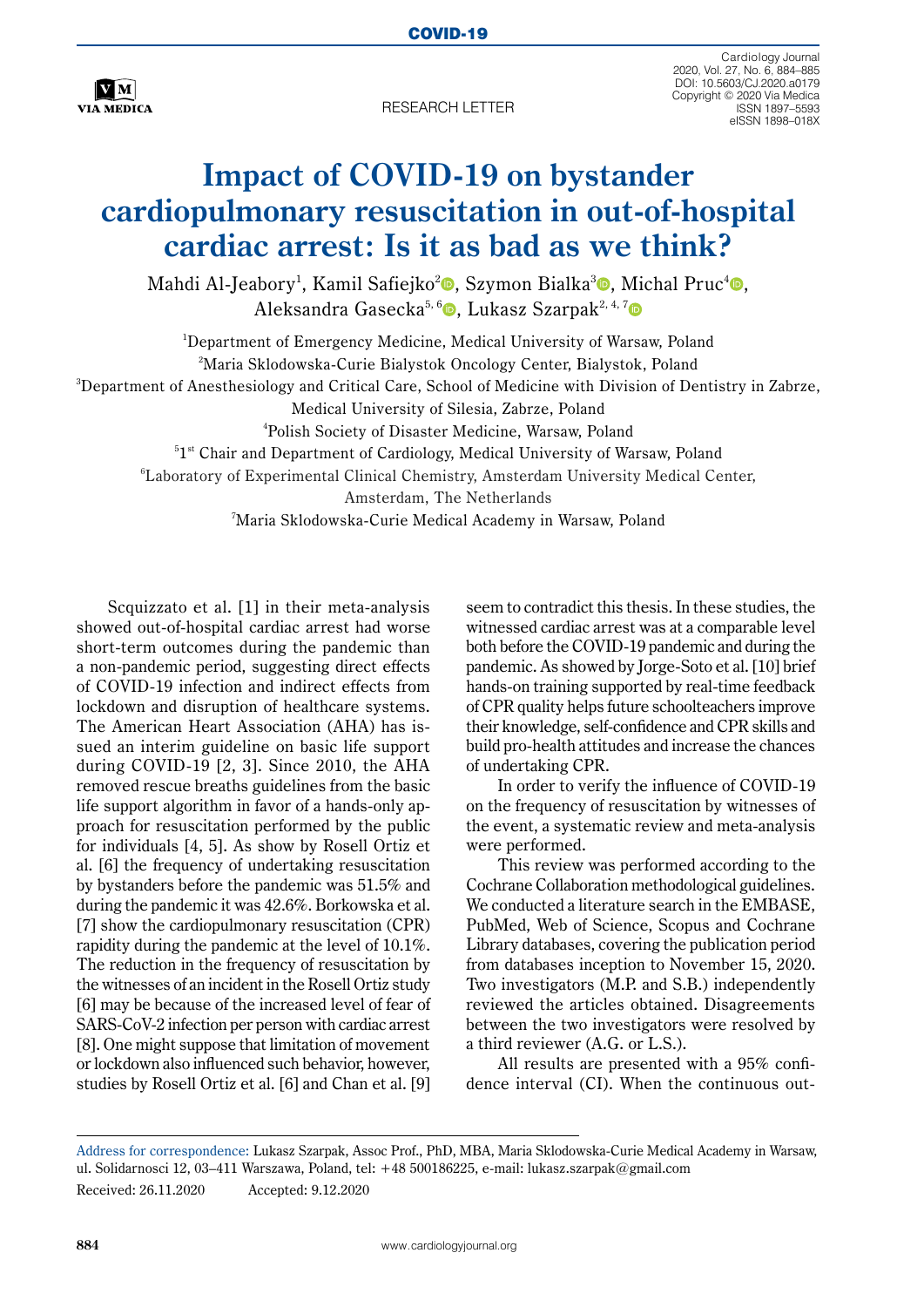

RESEARCH LETTER

Cardiology Journal 2020, Vol. 27, No. 6, 884–885 DOI: 10.5603/CJ.2020.a0179 Copyright © 2020 Via Medica ISSN 1897–5593 eISSN 1898–018X

## **Impact of COVID-19 on bystander cardiopulmonary resuscitation in out-of-hospital cardiac arrest: Is it as bad as we think?**

Mahdi Al-Jeabory<sup>1</sup>, Kamil Safiejko<sup>[2](https://orcid.org/0000-0003-0373-9911)</sup>®, Szymon Bialka<sup>[3](https://orcid.org/0000-0002-5923-2469)</sup>®, Michal Pruc<sup>4</sup>®, Aleksandra Gasecka<sup>5, [6](https://orcid.org/0000-0001-5083-7587)</sup> D. Lukasz Szarpak<sup>2, 4, [7](https://orcid.org/0000-0002-0973-5455)</sup> D

 Department of Emergency Medicine, Medical University of Warsaw, Poland Maria Sklodowska-Curie Bialystok Oncology Center, Bialystok, Poland Department of Anesthesiology and Critical Care, School of Medicine with Division of Dentistry in Zabrze, Medical University of Silesia, Zabrze, Poland Polish Society of Disaster Medicine, Warsaw, Poland  $^{51\mathrm{st}}$  Chair and Department of Cardiology, Medical University of Warsaw, Poland Laboratory of Experimental Clinical Chemistry, Amsterdam University Medical Center, Amsterdam, The Netherlands Maria Sklodowska-Curie Medical Academy in Warsaw, Poland

Scquizzato et al. [1] in their meta-analysis showed out-of-hospital cardiac arrest had worse short-term outcomes during the pandemic than a non-pandemic period, suggesting direct effects of COVID-19 infection and indirect effects from lockdown and disruption of healthcare systems. The American Heart Association (AHA) has issued an interim guideline on basic life support during COVID-19 [2, 3]. Since 2010, the AHA removed rescue breaths guidelines from the basic life support algorithm in favor of a hands-only approach for resuscitation performed by the public for individuals [4, 5]. As show by Rosell Ortiz et al. [6] the frequency of undertaking resuscitation by bystanders before the pandemic was 51.5% and during the pandemic it was 42.6%. Borkowska et al. [7] show the cardiopulmonary resuscitation (CPR) rapidity during the pandemic at the level of 10.1%. The reduction in the frequency of resuscitation by the witnesses of an incident in the Rosell Ortiz study [6] may be because of the increased level of fear of SARS-CoV-2 infection per person with cardiac arrest [8]. One might suppose that limitation of movement or lockdown also influenced such behavior, however, studies by Rosell Ortiz et al. [6] and Chan et al. [9]

seem to contradict this thesis. In these studies, the witnessed cardiac arrest was at a comparable level both before the COVID-19 pandemic and during the pandemic. As showed by Jorge-Soto et al. [10] brief hands-on training supported by real-time feedback of CPR quality helps future schoolteachers improve their knowledge, self-confidence and CPR skills and build pro-health attitudes and increase the chances of undertaking CPR.

In order to verify the influence of COVID-19 on the frequency of resuscitation by witnesses of the event, a systematic review and meta-analysis were performed.

This review was performed according to the Cochrane Collaboration methodological guidelines. We conducted a literature search in the EMBASE, PubMed, Web of Science, Scopus and Cochrane Library databases, covering the publication period from databases inception to November 15, 2020. Two investigators (M.P. and S.B.) independently reviewed the articles obtained. Disagreements between the two investigators were resolved by a third reviewer (A.G. or L.S.).

All results are presented with a 95% confidence interval (CI). When the continuous out-

Address for correspondence: Lukasz Szarpak, Assoc Prof., PhD, MBA, Maria Sklodowska-Curie Medical Academy in Warsaw, ul. Solidarnosci 12, 03–411 Warszawa, Poland, tel: +48 500186225, e-mail: lukasz.szarpak@gmail.com Received: 26.11.2020 Accepted: 9.12.2020